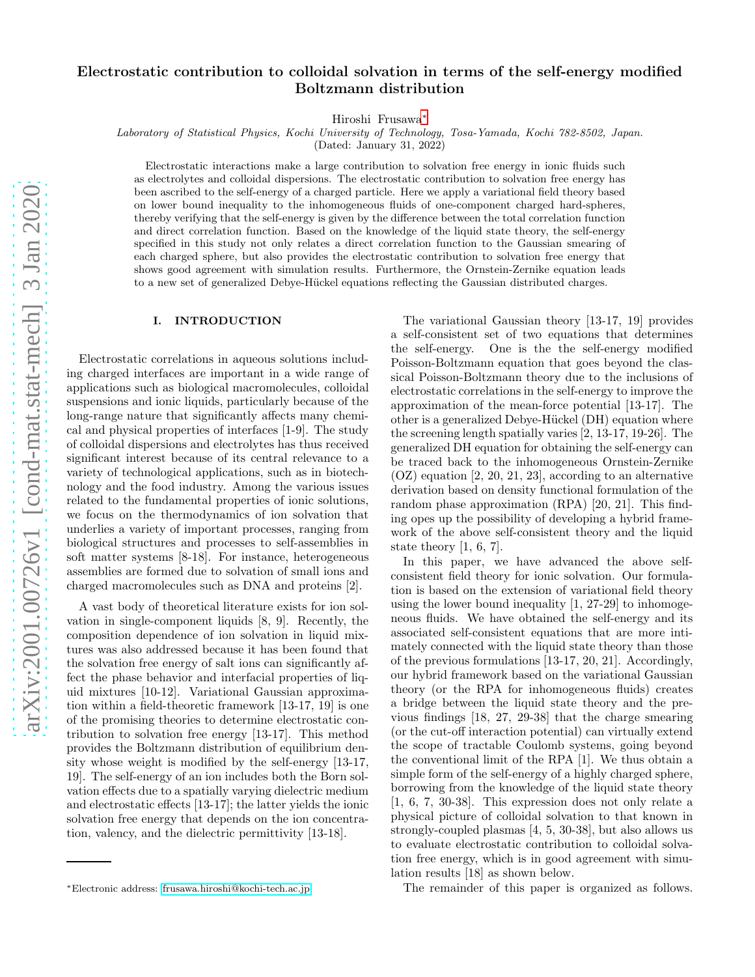# Electrostatic contribution to colloidal solvation in terms of the self-energy modified Boltzmann distribution

Hiroshi Frusawa[∗](#page-0-0)

Laboratory of Statistical Physics, Kochi University of Technology, Tosa-Yamada, Kochi 782-8502, Japan.

(Dated: January 31, 2022)

Electrostatic interactions make a large contribution to solvation free energy in ionic fluids such as electrolytes and colloidal dispersions. The electrostatic contribution to solvation free energy has been ascribed to the self-energy of a charged particle. Here we apply a variational field theory based on lower bound inequality to the inhomogeneous fluids of one-component charged hard-spheres, thereby verifying that the self-energy is given by the difference between the total correlation function and direct correlation function. Based on the knowledge of the liquid state theory, the self-energy specified in this study not only relates a direct correlation function to the Gaussian smearing of each charged sphere, but also provides the electrostatic contribution to solvation free energy that shows good agreement with simulation results. Furthermore, the Ornstein-Zernike equation leads to a new set of generalized Debye-Hückel equations reflecting the Gaussian distributed charges.

### I. INTRODUCTION

Electrostatic correlations in aqueous solutions including charged interfaces are important in a wide range of applications such as biological macromolecules, colloidal suspensions and ionic liquids, particularly because of the long-range nature that significantly affects many chemical and physical properties of interfaces [1-9]. The study of colloidal dispersions and electrolytes has thus received significant interest because of its central relevance to a variety of technological applications, such as in biotechnology and the food industry. Among the various issues related to the fundamental properties of ionic solutions, we focus on the thermodynamics of ion solvation that underlies a variety of important processes, ranging from biological structures and processes to self-assemblies in soft matter systems [8-18]. For instance, heterogeneous assemblies are formed due to solvation of small ions and charged macromolecules such as DNA and proteins [2].

A vast body of theoretical literature exists for ion solvation in single-component liquids [8, 9]. Recently, the composition dependence of ion solvation in liquid mixtures was also addressed because it has been found that the solvation free energy of salt ions can significantly affect the phase behavior and interfacial properties of liquid mixtures [10-12]. Variational Gaussian approximation within a field-theoretic framework [13-17, 19] is one of the promising theories to determine electrostatic contribution to solvation free energy [13-17]. This method provides the Boltzmann distribution of equilibrium density whose weight is modified by the self-energy [13-17, 19]. The self-energy of an ion includes both the Born solvation effects due to a spatially varying dielectric medium and electrostatic effects [13-17]; the latter yields the ionic solvation free energy that depends on the ion concentration, valency, and the dielectric permittivity [13-18].

The variational Gaussian theory [13-17, 19] provides a self-consistent set of two equations that determines the self-energy. One is the the self-energy modified Poisson-Boltzmann equation that goes beyond the classical Poisson-Boltzmann theory due to the inclusions of electrostatic correlations in the self-energy to improve the approximation of the mean-force potential [13-17]. The other is a generalized Debye-Hückel (DH) equation where the screening length spatially varies [2, 13-17, 19-26]. The generalized DH equation for obtaining the self-energy can be traced back to the inhomogeneous Ornstein-Zernike (OZ) equation [2, 20, 21, 23], according to an alternative derivation based on density functional formulation of the random phase approximation (RPA) [20, 21]. This finding opes up the possibility of developing a hybrid framework of the above self-consistent theory and the liquid state theory [1, 6, 7].

In this paper, we have advanced the above selfconsistent field theory for ionic solvation. Our formulation is based on the extension of variational field theory using the lower bound inequality [1, 27-29] to inhomogeneous fluids. We have obtained the self-energy and its associated self-consistent equations that are more intimately connected with the liquid state theory than those of the previous formulations [13-17, 20, 21]. Accordingly, our hybrid framework based on the variational Gaussian theory (or the RPA for inhomogeneous fluids) creates a bridge between the liquid state theory and the previous findings [18, 27, 29-38] that the charge smearing (or the cut-off interaction potential) can virtually extend the scope of tractable Coulomb systems, going beyond the conventional limit of the RPA [1]. We thus obtain a simple form of the self-energy of a highly charged sphere, borrowing from the knowledge of the liquid state theory [1, 6, 7, 30-38]. This expression does not only relate a physical picture of colloidal solvation to that known in strongly-coupled plasmas [4, 5, 30-38], but also allows us to evaluate electrostatic contribution to colloidal solvation free energy, which is in good agreement with simulation results [18] as shown below.

The remainder of this paper is organized as follows.

<span id="page-0-0"></span><sup>∗</sup>Electronic address: [frusawa.hiroshi@kochi-tech.ac.jp](mailto:frusawa.hiroshi@kochi-tech.ac.jp)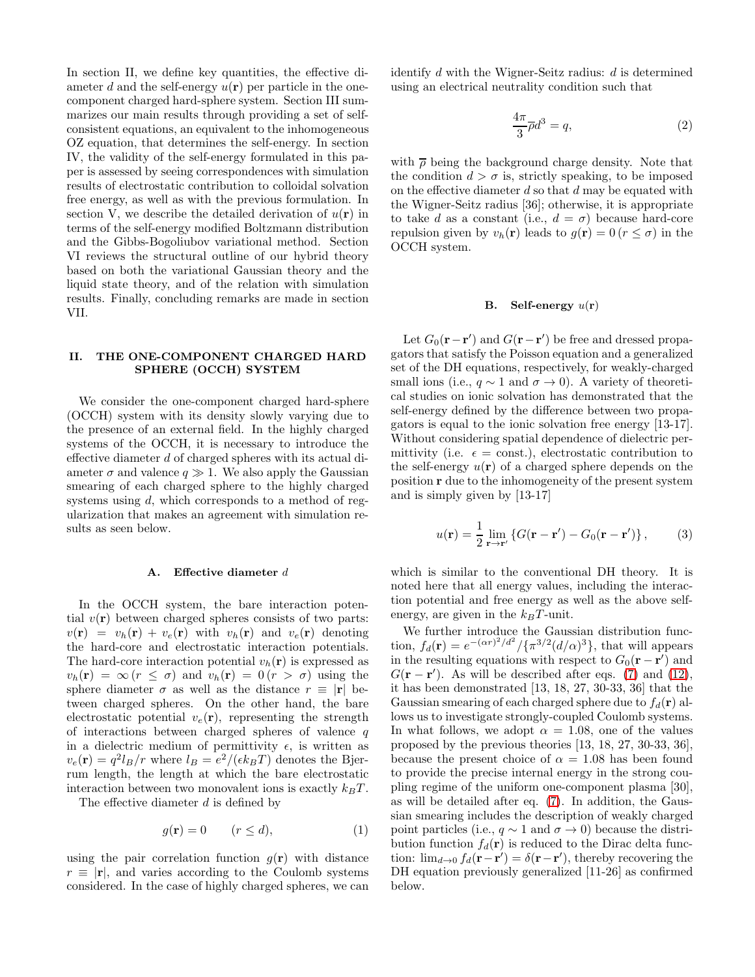In section II, we define key quantities, the effective diameter d and the self-energy  $u(\mathbf{r})$  per particle in the onecomponent charged hard-sphere system. Section III summarizes our main results through providing a set of selfconsistent equations, an equivalent to the inhomogeneous OZ equation, that determines the self-energy. In section IV, the validity of the self-energy formulated in this paper is assessed by seeing correspondences with simulation results of electrostatic contribution to colloidal solvation free energy, as well as with the previous formulation. In section V, we describe the detailed derivation of  $u(\mathbf{r})$  in terms of the self-energy modified Boltzmann distribution and the Gibbs-Bogoliubov variational method. Section VI reviews the structural outline of our hybrid theory based on both the variational Gaussian theory and the liquid state theory, and of the relation with simulation results. Finally, concluding remarks are made in section VII.

### II. THE ONE-COMPONENT CHARGED HARD SPHERE (OCCH) SYSTEM

We consider the one-component charged hard-sphere (OCCH) system with its density slowly varying due to the presence of an external field. In the highly charged systems of the OCCH, it is necessary to introduce the effective diameter d of charged spheres with its actual diameter  $\sigma$  and valence  $q \gg 1$ . We also apply the Gaussian smearing of each charged sphere to the highly charged systems using d, which corresponds to a method of regularization that makes an agreement with simulation results as seen below.

#### A. Effective diameter d

In the OCCH system, the bare interaction potential  $v(\mathbf{r})$  between charged spheres consists of two parts:  $v(\mathbf{r}) = v_h(\mathbf{r}) + v_e(\mathbf{r})$  with  $v_h(\mathbf{r})$  and  $v_e(\mathbf{r})$  denoting the hard-core and electrostatic interaction potentials. The hard-core interaction potential  $v_h(\mathbf{r})$  is expressed as  $v_h(\mathbf{r}) = \infty (r \leq \sigma)$  and  $v_h(\mathbf{r}) = 0 (r > \sigma)$  using the sphere diameter  $\sigma$  as well as the distance  $r \equiv |\mathbf{r}|$  between charged spheres. On the other hand, the bare electrostatic potential  $v_e(\mathbf{r})$ , representing the strength of interactions between charged spheres of valence  $q$ in a dielectric medium of permittivity  $\epsilon$ , is written as  $v_e(\mathbf{r}) = q^2 l_B / r$  where  $l_B = e^2 / (\epsilon k_B T)$  denotes the Bjerrum length, the length at which the bare electrostatic interaction between two monovalent ions is exactly  $k_BT$ .

The effective diameter d is defined by

$$
g(\mathbf{r}) = 0 \qquad (r \le d), \tag{1}
$$

using the pair correlation function  $g(\mathbf{r})$  with distance  $r \equiv |\mathbf{r}|$ , and varies according to the Coulomb systems considered. In the case of highly charged spheres, we can identify  $d$  with the Wigner-Seitz radius:  $d$  is determined using an electrical neutrality condition such that

$$
\frac{4\pi}{3}\overline{\rho}d^3 = q,\t\t(2)
$$

with  $\bar{\rho}$  being the background charge density. Note that the condition  $d > \sigma$  is, strictly speaking, to be imposed on the effective diameter  $d$  so that  $d$  may be equated with the Wigner-Seitz radius [36]; otherwise, it is appropriate to take d as a constant (i.e.,  $d = \sigma$ ) because hard-core repulsion given by  $v_h(\mathbf{r})$  leads to  $g(\mathbf{r}) = 0$  ( $r \leq \sigma$ ) in the OCCH system.

#### B. Self-energy  $u(\mathbf{r})$

Let  $G_0(\mathbf{r}-\mathbf{r}')$  and  $G(\mathbf{r}-\mathbf{r}')$  be free and dressed propagators that satisfy the Poisson equation and a generalized set of the DH equations, respectively, for weakly-charged small ions (i.e.,  $q \sim 1$  and  $\sigma \to 0$ ). A variety of theoretical studies on ionic solvation has demonstrated that the self-energy defined by the difference between two propagators is equal to the ionic solvation free energy [13-17]. Without considering spatial dependence of dielectric permittivity (i.e.  $\epsilon = \text{const.}$ ), electrostatic contribution to the self-energy  $u(\mathbf{r})$  of a charged sphere depends on the position r due to the inhomogeneity of the present system and is simply given by [13-17]

<span id="page-1-0"></span>
$$
u(\mathbf{r}) = \frac{1}{2} \lim_{\mathbf{r} \to \mathbf{r}'} \left\{ G(\mathbf{r} - \mathbf{r}') - G_0(\mathbf{r} - \mathbf{r}') \right\},\tag{3}
$$

which is similar to the conventional DH theory. It is noted here that all energy values, including the interaction potential and free energy as well as the above selfenergy, are given in the  $k_BT$ -unit.

We further introduce the Gaussian distribution function,  $f_d(\mathbf{r}) = e^{-(\alpha r)^2/d^2}/\{\pi^{3/2}(d/\alpha)^3\}$ , that will appears in the resulting equations with respect to  $G_0(\mathbf{r} - \mathbf{r}')$  and  $G(\mathbf{r} - \mathbf{r}')$ . As will be described after eqs. [\(7\)](#page-2-0) and [\(12\)](#page-4-0), it has been demonstrated [13, 18, 27, 30-33, 36] that the Gaussian smearing of each charged sphere due to  $f_d(\mathbf{r})$  allows us to investigate strongly-coupled Coulomb systems. In what follows, we adopt  $\alpha = 1.08$ , one of the values proposed by the previous theories [13, 18, 27, 30-33, 36], because the present choice of  $\alpha = 1.08$  has been found to provide the precise internal energy in the strong coupling regime of the uniform one-component plasma [30], as will be detailed after eq. [\(7\)](#page-2-0). In addition, the Gaussian smearing includes the description of weakly charged point particles (i.e.,  $q \sim 1$  and  $\sigma \to 0$ ) because the distribution function  $f_d(\mathbf{r})$  is reduced to the Dirac delta function:  $\lim_{d\to 0} f_d(\mathbf{r}-\mathbf{r}') = \delta(\mathbf{r}-\mathbf{r}')$ , thereby recovering the DH equation previously generalized [11-26] as confirmed below.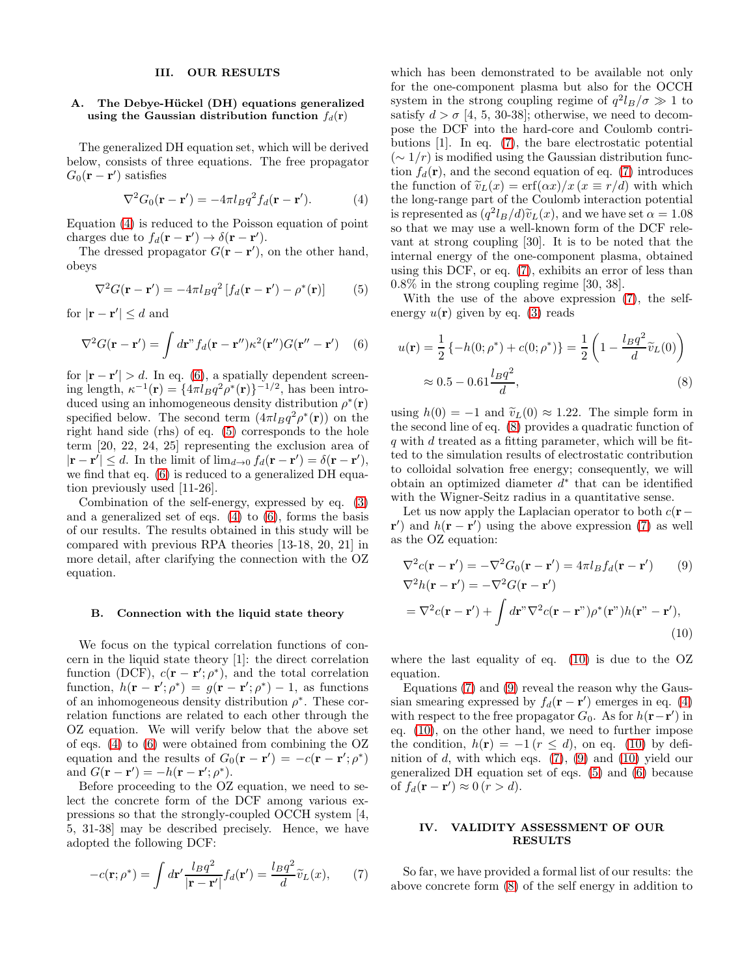#### III. OUR RESULTS

### A. The Debye-Hückel (DH) equations generalized using the Gaussian distribution function  $f_d(\mathbf{r})$

The generalized DH equation set, which will be derived below, consists of three equations. The free propagator  $G_0(\mathbf{r}-\mathbf{r}')$  satisfies

<span id="page-2-1"></span>
$$
\nabla^2 G_0(\mathbf{r} - \mathbf{r}') = -4\pi l_B q^2 f_d(\mathbf{r} - \mathbf{r}'). \tag{4}
$$

Equation [\(4\)](#page-2-1) is reduced to the Poisson equation of point charges due to  $f_d(\mathbf{r} - \mathbf{r}') \rightarrow \delta(\mathbf{r} - \mathbf{r}')$ .

The dressed propagator  $G(\mathbf{r} - \mathbf{r}')$ , on the other hand, obeys

<span id="page-2-3"></span>
$$
\nabla^2 G(\mathbf{r} - \mathbf{r}') = -4\pi l_B q^2 \left[ f_d(\mathbf{r} - \mathbf{r}') - \rho^*(\mathbf{r}) \right]
$$
 (5)

for  $|\mathbf{r} - \mathbf{r}'| \le d$  and

<span id="page-2-2"></span>
$$
\nabla^2 G(\mathbf{r} - \mathbf{r}') = \int d\mathbf{r}'' f_d(\mathbf{r} - \mathbf{r}'') \kappa^2 (\mathbf{r}'') G(\mathbf{r}'' - \mathbf{r}') \quad (6)
$$

for  $|\mathbf{r} - \mathbf{r}'| > d$ . In eq. [\(6\)](#page-2-2), a spatially dependent screening length,  $\kappa^{-1}(\mathbf{r}) = \{4\pi l_B q^2 \rho^*(\mathbf{r})\}^{-1/2}$ , has been introduced using an inhomogeneous density distribution  $\rho^*(\mathbf{r})$ specified below. The second term  $(4\pi l_B q^2 \rho^*(\mathbf{r}))$  on the right hand side (rhs) of eq. [\(5\)](#page-2-3) corresponds to the hole term [20, 22, 24, 25] representing the exclusion area of  $|\mathbf{r} - \mathbf{r}'| \leq d$ . In the limit of  $\lim_{d \to 0} f_d(\mathbf{r} - \mathbf{r}') = \delta(\mathbf{r} - \mathbf{r}'),$ we find that eq. [\(6\)](#page-2-2) is reduced to a generalized DH equation previously used [11-26].

Combination of the self-energy, expressed by eq. [\(3\)](#page-1-0) and a generalized set of eqs.  $(4)$  to  $(6)$ , forms the basis of our results. The results obtained in this study will be compared with previous RPA theories [13-18, 20, 21] in more detail, after clarifying the connection with the OZ equation.

#### B. Connection with the liquid state theory

We focus on the typical correlation functions of concern in the liquid state theory [1]: the direct correlation function (DCF),  $c(\mathbf{r} - \mathbf{r}'; \rho^*)$ , and the total correlation function,  $h(\mathbf{r} - \mathbf{r}'; \rho^*) = g(\mathbf{r} - \mathbf{r}'; \rho^*) - 1$ , as functions of an inhomogeneous density distribution  $\rho^*$ . These correlation functions are related to each other through the OZ equation. We will verify below that the above set of eqs. [\(4\)](#page-2-1) to [\(6\)](#page-2-2) were obtained from combining the OZ equation and the results of  $G_0(\mathbf{r} - \mathbf{r}') = -c(\mathbf{r} - \mathbf{r}';\rho^*)$ and  $G(\mathbf{r}-\mathbf{r}')=-h(\mathbf{r}-\mathbf{r}';\rho^*)$ .

Before proceeding to the OZ equation, we need to select the concrete form of the DCF among various expressions so that the strongly-coupled OCCH system [4, 5, 31-38] may be described precisely. Hence, we have adopted the following DCF:

$$
-c(\mathbf{r};\rho^*) = \int d\mathbf{r}' \frac{l_B q^2}{|\mathbf{r} - \mathbf{r}'|} f_d(\mathbf{r}') = \frac{l_B q^2}{d} \widetilde{v}_L(x),\qquad(7)
$$

which has been demonstrated to be available not only for the one-component plasma but also for the OCCH system in the strong coupling regime of  $q^2 l_B/\sigma \gg 1$  to satisfy  $d > \sigma$  [4, 5, 30-38]; otherwise, we need to decompose the DCF into the hard-core and Coulomb contributions [1]. In eq. [\(7\)](#page-2-0), the bare electrostatic potential  $({\sim} 1/r)$  is modified using the Gaussian distribution function  $f_d(\mathbf{r})$ , and the second equation of eq. [\(7\)](#page-2-0) introduces the function of  $\tilde{v}_L(x) = erf(\alpha x)/x$  ( $x \equiv r/d$ ) with which the long-range part of the Coulomb interaction potential is represented as  $(q^2 l_B/d) \tilde{v}_L(x)$ , and we have set  $\alpha = 1.08$ so that we may use a well-known form of the DCF relevant at strong coupling [30]. It is to be noted that the internal energy of the one-component plasma, obtained using this DCF, or eq. [\(7\)](#page-2-0), exhibits an error of less than 0.8% in the strong coupling regime [30, 38].

With the use of the above expression [\(7\)](#page-2-0), the selfenergy  $u(\mathbf{r})$  given by eq. [\(3\)](#page-1-0) reads

<span id="page-2-4"></span>
$$
u(\mathbf{r}) = \frac{1}{2} \{-h(0; \rho^*) + c(0; \rho^*)\} = \frac{1}{2} \left(1 - \frac{l_B q^2}{d} \widetilde{v}_L(0)\right)
$$
  

$$
\approx 0.5 - 0.61 \frac{l_B q^2}{d},
$$
 (8)

using  $h(0) = -1$  and  $\tilde{v}_L(0) \approx 1.22$ . The simple form in the second line of eq. [\(8\)](#page-2-4) provides a quadratic function of  $q$  with  $d$  treated as a fitting parameter, which will be fitted to the simulation results of electrostatic contribution to colloidal solvation free energy; consequently, we will obtain an optimized diameter  $d^*$  that can be identified with the Wigner-Seitz radius in a quantitative sense.

Let us now apply the Laplacian operator to both  $c(\mathbf{r} (\mathbf{r}')$  and  $h(\mathbf{r} - \mathbf{r}')$  using the above expression [\(7\)](#page-2-0) as well as the OZ equation:

<span id="page-2-6"></span><span id="page-2-5"></span>
$$
\nabla^2 c(\mathbf{r} - \mathbf{r}') = -\nabla^2 G_0(\mathbf{r} - \mathbf{r}') = 4\pi l_B f_d(\mathbf{r} - \mathbf{r}')
$$
(9)  

$$
\nabla^2 h(\mathbf{r} - \mathbf{r}') = -\nabla^2 G(\mathbf{r} - \mathbf{r}')
$$

$$
= \nabla^2 c(\mathbf{r} - \mathbf{r}') + \int d\mathbf{r}'' \nabla^2 c(\mathbf{r} - \mathbf{r}'') \rho^*(\mathbf{r}''') h(\mathbf{r}'' - \mathbf{r}'),
$$
(10)

where the last equality of eq. [\(10\)](#page-2-5) is due to the OZ equation.

Equations [\(7\)](#page-2-0) and [\(9\)](#page-2-6) reveal the reason why the Gaussian smearing expressed by  $f_d(\mathbf{r} - \mathbf{r}')$  emerges in eq. [\(4\)](#page-2-1) with respect to the free propagator  $G_0$ . As for  $h(\mathbf{r}-\mathbf{r}')$  in eq. [\(10\)](#page-2-5), on the other hand, we need to further impose the condition,  $h(\mathbf{r}) = -1$  ( $r \le d$ ), on eq. [\(10\)](#page-2-5) by definition of  $d$ , with which eqs. [\(7\)](#page-2-0), [\(9\)](#page-2-6) and [\(10\)](#page-2-5) yield our generalized DH equation set of eqs. [\(5\)](#page-2-3) and [\(6\)](#page-2-2) because of  $f_d(\mathbf{r} - \mathbf{r}') \approx 0$   $(r > d)$ .

### IV. VALIDITY ASSESSMENT OF OUR RESULTS

<span id="page-2-0"></span>So far, we have provided a formal list of our results: the above concrete form [\(8\)](#page-2-4) of the self energy in addition to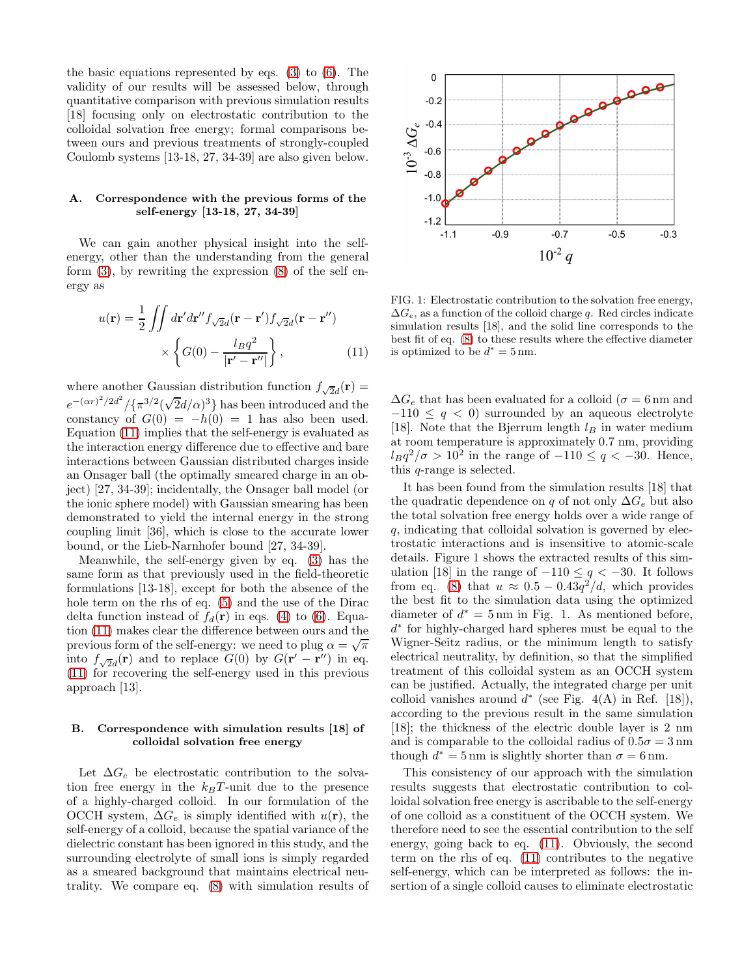the basic equations represented by eqs. [\(3\)](#page-1-0) to [\(6\)](#page-2-2). The validity of our results will be assessed below, through quantitative comparison with previous simulation results [18] focusing only on electrostatic contribution to the colloidal solvation free energy; formal comparisons between ours and previous treatments of strongly-coupled Coulomb systems [13-18, 27, 34-39] are also given below.

### A. Correspondence with the previous forms of the self-energy [13-18, 27, 34-39]

We can gain another physical insight into the selfenergy, other than the understanding from the general form  $(3)$ , by rewriting the expression  $(8)$  of the self energy as

$$
u(\mathbf{r}) = \frac{1}{2} \iint d\mathbf{r}' d\mathbf{r}'' f_{\sqrt{2}d}(\mathbf{r} - \mathbf{r}') f_{\sqrt{2}d}(\mathbf{r} - \mathbf{r}'')
$$
  
 
$$
\times \left\{ G(0) - \frac{l_B q^2}{|\mathbf{r}' - \mathbf{r}''|} \right\},
$$
 (11)

where another Gaussian distribution function  $f_{\sqrt{2}d}(\mathbf{r}) =$  $e^{-(\alpha r)^2/2d^2}/\{\pi^{3/2}(\sqrt{2}d/\alpha)^3\}$  has been introduced and the constancy of  $G(0) = -h(0) = 1$  has also been used. Equation [\(11\)](#page-3-0) implies that the self-energy is evaluated as the interaction energy difference due to effective and bare interactions between Gaussian distributed charges inside an Onsager ball (the optimally smeared charge in an object) [27, 34-39]; incidentally, the Onsager ball model (or the ionic sphere model) with Gaussian smearing has been demonstrated to yield the internal energy in the strong coupling limit [36], which is close to the accurate lower bound, or the Lieb-Narnhofer bound [27, 34-39].

Meanwhile, the self-energy given by eq. [\(3\)](#page-1-0) has the same form as that previously used in the field-theoretic formulations [13-18], except for both the absence of the hole term on the rhs of eq. [\(5\)](#page-2-3) and the use of the Dirac delta function instead of  $f_d(\mathbf{r})$  in eqs. [\(4\)](#page-2-1) to [\(6\)](#page-2-2). Equation [\(11\)](#page-3-0) makes clear the difference between ours and the previous form of the self-energy: we need to plug  $\alpha = \sqrt{\pi}$ into  $f_{\sqrt{2}d}(\mathbf{r})$  and to replace  $G(0)$  by  $G(\mathbf{r}' - \mathbf{r}'')$  in eq. [\(11\)](#page-3-0) for recovering the self-energy used in this previous approach [13].

# B. Correspondence with simulation results [18] of colloidal solvation free energy

Let  $\Delta G_e$  be electrostatic contribution to the solvation free energy in the  $k_BT$ -unit due to the presence of a highly-charged colloid. In our formulation of the OCCH system,  $\Delta G_e$  is simply identified with  $u(\mathbf{r})$ , the self-energy of a colloid, because the spatial variance of the dielectric constant has been ignored in this study, and the surrounding electrolyte of small ions is simply regarded as a smeared background that maintains electrical neutrality. We compare eq. [\(8\)](#page-2-4) with simulation results of



<span id="page-3-0"></span>FIG. 1: Electrostatic contribution to the solvation free energy,  $\Delta G_e$ , as a function of the colloid charge q. Red circles indicate simulation results [18], and the solid line corresponds to the best fit of eq. [\(8\)](#page-2-4) to these results where the effective diameter is optimized to be  $d^* = 5$  nm.

 $\Delta G_e$  that has been evaluated for a colloid ( $\sigma = 6$  nm and  $-110 \leq q < 0$ ) surrounded by an aqueous electrolyte [18]. Note that the Bjerrum length  $l_B$  in water medium at room temperature is approximately 0.7 nm, providing  $l_B q^2/\sigma > 10^2$  in the range of  $-110 \le q < -30$ . Hence, this q-range is selected.

It has been found from the simulation results [18] that the quadratic dependence on q of not only  $\Delta G_e$  but also the total solvation free energy holds over a wide range of q, indicating that colloidal solvation is governed by electrostatic interactions and is insensitive to atomic-scale details. Figure 1 shows the extracted results of this simulation [18] in the range of  $-110 \leq g < -30$ . It follows from eq. [\(8\)](#page-2-4) that  $u \approx 0.5 - 0.43q^2/d$ , which provides the best fit to the simulation data using the optimized diameter of  $d^* = 5 \,\text{nm}$  in Fig. 1. As mentioned before, d ∗ for highly-charged hard spheres must be equal to the Wigner-Seitz radius, or the minimum length to satisfy electrical neutrality, by definition, so that the simplified treatment of this colloidal system as an OCCH system can be justified. Actually, the integrated charge per unit colloid vanishes around  $d^*$  (see Fig. 4(A) in Ref. [18]), according to the previous result in the same simulation [18]; the thickness of the electric double layer is 2 nm and is comparable to the colloidal radius of  $0.5\sigma = 3 \,\text{nm}$ though  $d^* = 5$  nm is slightly shorter than  $\sigma = 6$  nm.

This consistency of our approach with the simulation results suggests that electrostatic contribution to colloidal solvation free energy is ascribable to the self-energy of one colloid as a constituent of the OCCH system. We therefore need to see the essential contribution to the self energy, going back to eq. [\(11\)](#page-3-0). Obviously, the second term on the rhs of eq. [\(11\)](#page-3-0) contributes to the negative self-energy, which can be interpreted as follows: the insertion of a single colloid causes to eliminate electrostatic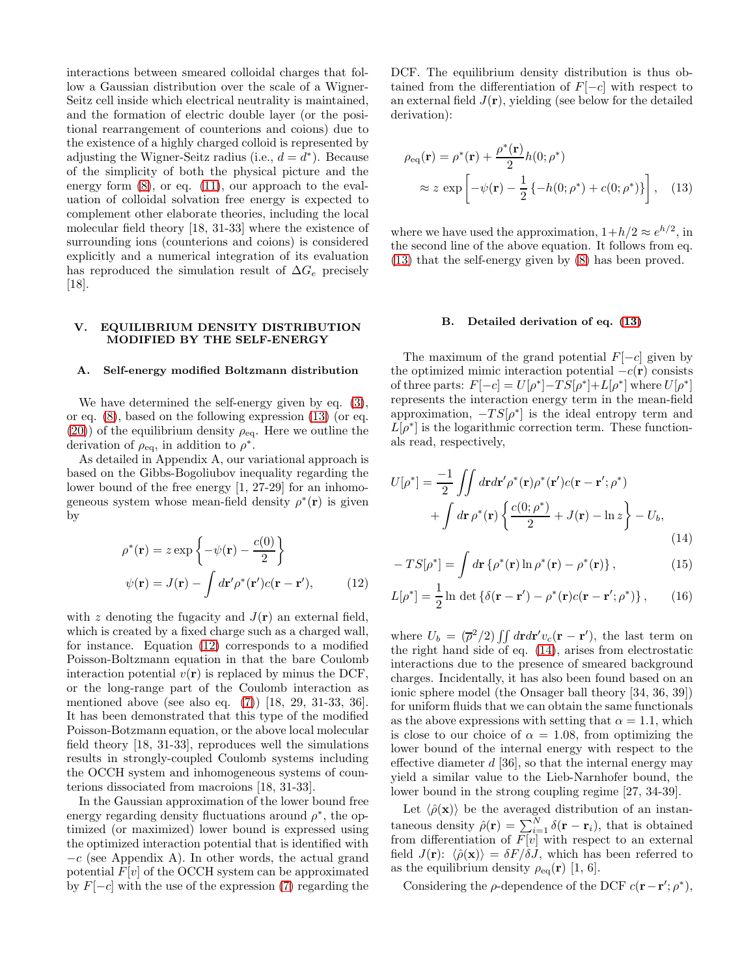interactions between smeared colloidal charges that follow a Gaussian distribution over the scale of a Wigner-Seitz cell inside which electrical neutrality is maintained, and the formation of electric double layer (or the positional rearrangement of counterions and coions) due to the existence of a highly charged colloid is represented by adjusting the Wigner-Seitz radius (i.e.,  $d = d^*$ ). Because of the simplicity of both the physical picture and the energy form [\(8\)](#page-2-4), or eq. [\(11\)](#page-3-0), our approach to the evaluation of colloidal solvation free energy is expected to complement other elaborate theories, including the local molecular field theory [18, 31-33] where the existence of surrounding ions (counterions and coions) is considered explicitly and a numerical integration of its evaluation has reproduced the simulation result of  $\Delta G_e$  precisely  $|18|$ .

### V. EQUILIBRIUM DENSITY DISTRIBUTION MODIFIED BY THE SELF-ENERGY

#### A. Self-energy modified Boltzmann distribution

We have determined the self-energy given by eq.  $(3)$ , or eq. [\(8\)](#page-2-4), based on the following expression [\(13\)](#page-4-1) (or eq.  $(20)$ ) of the equilibrium density  $\rho_{\text{eq}}$ . Here we outline the derivation of  $\rho_{\text{eq}}$ , in addition to  $\rho^*$ .

As detailed in Appendix A, our variational approach is based on the Gibbs-Bogoliubov inequality regarding the lower bound of the free energy [1, 27-29] for an inhomogeneous system whose mean-field density  $\rho^*(\mathbf{r})$  is given by

$$
\rho^*(\mathbf{r}) = z \exp\left\{-\psi(\mathbf{r}) - \frac{c(0)}{2}\right\}
$$

$$
\psi(\mathbf{r}) = J(\mathbf{r}) - \int d\mathbf{r}' \rho^*(\mathbf{r}')c(\mathbf{r} - \mathbf{r}'), \qquad (12)
$$

with z denoting the fugacity and  $J(\mathbf{r})$  an external field, which is created by a fixed charge such as a charged wall, for instance. Equation [\(12\)](#page-4-0) corresponds to a modified Poisson-Boltzmann equation in that the bare Coulomb interaction potential  $v(\mathbf{r})$  is replaced by minus the DCF, or the long-range part of the Coulomb interaction as mentioned above (see also eq. [\(7\)](#page-2-0)) [18, 29, 31-33, 36]. It has been demonstrated that this type of the modified Poisson-Botzmann equation, or the above local molecular field theory [18, 31-33], reproduces well the simulations results in strongly-coupled Coulomb systems including the OCCH system and inhomogeneous systems of counterions dissociated from macroions [18, 31-33].

In the Gaussian approximation of the lower bound free energy regarding density fluctuations around  $\rho^*$ , the optimized (or maximized) lower bound is expressed using the optimized interaction potential that is identified with  $-c$  (see Appendix A). In other words, the actual grand potential  $F[v]$  of the OCCH system can be approximated by  $F[-c]$  with the use of the expression [\(7\)](#page-2-0) regarding the

DCF. The equilibrium density distribution is thus obtained from the differentiation of  $F[-c]$  with respect to an external field  $J(\mathbf{r})$ , yielding (see below for the detailed derivation):

$$
\rho_{\text{eq}}(\mathbf{r}) = \rho^*(\mathbf{r}) + \frac{\rho^*(\mathbf{r})}{2}h(0;\rho^*)
$$
  

$$
\approx z \exp\left[-\psi(\mathbf{r}) - \frac{1}{2}\left\{-h(0;\rho^*) + c(0;\rho^*)\right\}\right], \quad (13)
$$

where we have used the approximation,  $1+h/2 \approx e^{h/2}$ , in the second line of the above equation. It follows from eq. [\(13\)](#page-4-1) that the self-energy given by [\(8\)](#page-2-4) has been proved.

#### <span id="page-4-1"></span>B. Detailed derivation of eq. [\(13\)](#page-4-1)

The maximum of the grand potential  $F[-c]$  given by the optimized mimic interaction potential  $-c(r)$  consists of three parts:  $F[-c] = U[\rho^*]-TS[\rho^*]+L[\rho^*]$  where  $U[\rho^*]$ represents the interaction energy term in the mean-field approximation,  $-TS[\rho^*]$  is the ideal entropy term and  $L[\rho^*]$  is the logarithmic correction term. These functionals read, respectively,

$$
U[\rho^*] = \frac{-1}{2} \iint d\mathbf{r} d\mathbf{r}' \rho^*(\mathbf{r}) \rho^*(\mathbf{r}') c(\mathbf{r} - \mathbf{r}'; \rho^*)
$$
  
+ 
$$
\int d\mathbf{r} \rho^*(\mathbf{r}) \left\{ \frac{c(0; \rho^*)}{2} + J(\mathbf{r}) - \ln z \right\} - U_b,
$$
(14)

<span id="page-4-3"></span><span id="page-4-2"></span>
$$
-TS[\rho^*] = \int d\mathbf{r} \left\{ \rho^*(\mathbf{r}) \ln \rho^*(\mathbf{r}) - \rho^*(\mathbf{r}) \right\},\tag{15}
$$

<span id="page-4-0"></span>
$$
L[\rho^*] = \frac{1}{2} \ln \det \{ \delta(\mathbf{r} - \mathbf{r}') - \rho^*(\mathbf{r})c(\mathbf{r} - \mathbf{r}';\rho^*) \}, \qquad (16)
$$

where  $U_b = (\bar{\rho}^2/2) \iint dr dr' v_c(\mathbf{r} - \mathbf{r}'),$  the last term on the right hand side of eq. [\(14\)](#page-4-2), arises from electrostatic interactions due to the presence of smeared background charges. Incidentally, it has also been found based on an ionic sphere model (the Onsager ball theory [34, 36, 39]) for uniform fluids that we can obtain the same functionals as the above expressions with setting that  $\alpha = 1.1$ , which is close to our choice of  $\alpha = 1.08$ , from optimizing the lower bound of the internal energy with respect to the effective diameter  $d$  [36], so that the internal energy may yield a similar value to the Lieb-Narnhofer bound, the lower bound in the strong coupling regime [27, 34-39].

Let  $\langle \hat{\rho}(\mathbf{x}) \rangle$  be the averaged distribution of an instantaneous density  $\hat{\rho}(\mathbf{r}) = \sum_{i=1}^{N} \delta(\mathbf{r} - \mathbf{r}_i)$ , that is obtained from differentiation of  $F[v]$  with respect to an external field  $J(\mathbf{r})$ :  $\langle \hat{\rho}(\mathbf{x}) \rangle = \delta F/\delta J$ , which has been referred to as the equilibrium density  $\rho_{eq}(\mathbf{r})$  [1, 6].

Considering the  $\rho$ -dependence of the DCF  $c(\mathbf{r} - \mathbf{r}'; \rho^*),$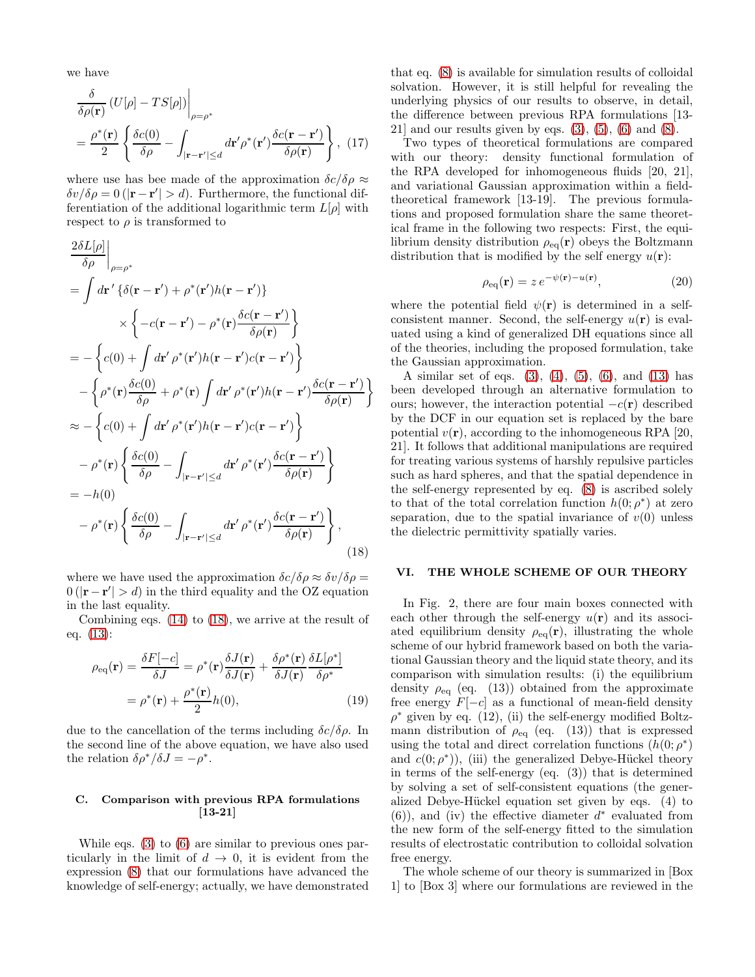we have

$$
\frac{\delta}{\delta \rho(\mathbf{r})} \left( U[\rho] - TS[\rho] \right) \Big|_{\rho = \rho^*}
$$
\n
$$
= \frac{\rho^*(\mathbf{r})}{2} \left\{ \frac{\delta c(0)}{\delta \rho} - \int_{|\mathbf{r} - \mathbf{r}'| \le d} d\mathbf{r}' \rho^*(\mathbf{r}') \frac{\delta c(\mathbf{r} - \mathbf{r}')}{\delta \rho(\mathbf{r})} \right\}, \tag{17}
$$

where use has bee made of the approximation  $\delta c/\delta \rho \approx$  $\delta v/\delta \rho = 0$  (|**r** − **r**'| > d). Furthermore, the functional differentiation of the additional logarithmic term  $L[\rho]$  with respect to  $\rho$  is transformed to

$$
\frac{2\delta L[\rho]}{\delta \rho}\Big|_{\rho=\rho^*} \n= \int d\mathbf{r}' \left\{ \delta(\mathbf{r} - \mathbf{r}') + \rho^*(\mathbf{r}')h(\mathbf{r} - \mathbf{r}') \right\} \n\times \left\{ -c(\mathbf{r} - \mathbf{r}') - \rho^*(\mathbf{r})\frac{\delta c(\mathbf{r} - \mathbf{r}')}{\delta \rho(\mathbf{r})} \right\} \n= -\left\{ c(0) + \int d\mathbf{r}' \rho^*(\mathbf{r}')h(\mathbf{r} - \mathbf{r}')c(\mathbf{r} - \mathbf{r}') \right\} \n- \left\{ \rho^*(\mathbf{r})\frac{\delta c(0)}{\delta \rho} + \rho^*(\mathbf{r}) \int d\mathbf{r}' \rho^*(\mathbf{r}')h(\mathbf{r} - \mathbf{r}')\frac{\delta c(\mathbf{r} - \mathbf{r}')}{\delta \rho(\mathbf{r})} \right\} \n\approx - \left\{ c(0) + \int d\mathbf{r}' \rho^*(\mathbf{r}')h(\mathbf{r} - \mathbf{r}')c(\mathbf{r} - \mathbf{r}') \right\} \n- \rho^*(\mathbf{r}) \left\{ \frac{\delta c(0)}{\delta \rho} - \int_{|\mathbf{r} - \mathbf{r}'| \le d} d\mathbf{r}' \rho^*(\mathbf{r}')\frac{\delta c(\mathbf{r} - \mathbf{r}')}{\delta \rho(\mathbf{r})} \right\} \n= -h(0) \n- \rho^*(\mathbf{r}) \left\{ \frac{\delta c(0)}{\delta \rho} - \int_{|\mathbf{r} - \mathbf{r}'| \le d} d\mathbf{r}' \rho^*(\mathbf{r}')\frac{\delta c(\mathbf{r} - \mathbf{r}')}{\delta \rho(\mathbf{r})} \right\},
$$
\n(18)

where we have used the approximation  $\delta c/\delta \rho \approx \delta v/\delta \rho =$  $0 (|\mathbf{r} - \mathbf{r}'| > d)$  in the third equality and the OZ equation in the last equality.

Combining eqs. [\(14\)](#page-4-2) to [\(18\)](#page-5-1), we arrive at the result of eq. [\(13\)](#page-4-1):

$$
\rho_{\text{eq}}(\mathbf{r}) = \frac{\delta F[-c]}{\delta J} = \rho^*(\mathbf{r}) \frac{\delta J(\mathbf{r})}{\delta J(\mathbf{r})} + \frac{\delta \rho^*(\mathbf{r})}{\delta J(\mathbf{r})} \frac{\delta L[\rho^*]}{\delta \rho^*}
$$

$$
= \rho^*(\mathbf{r}) + \frac{\rho^*(\mathbf{r})}{2} h(0), \tag{19}
$$

due to the cancellation of the terms including  $\delta c/\delta\rho$ . In the second line of the above equation, we have also used the relation  $\delta \rho^* / \delta J = -\rho^*$ .

# C. Comparison with previous RPA formulations [13-21]

While eqs. [\(3\)](#page-1-0) to [\(6\)](#page-2-2) are similar to previous ones particularly in the limit of  $d \rightarrow 0$ , it is evident from the expression [\(8\)](#page-2-4) that our formulations have advanced the knowledge of self-energy; actually, we have demonstrated

that eq. [\(8\)](#page-2-4) is available for simulation results of colloidal solvation. However, it is still helpful for revealing the underlying physics of our results to observe, in detail, the difference between previous RPA formulations [13- 21] and our results given by eqs.  $(3)$ ,  $(5)$ ,  $(6)$  and  $(8)$ .

Two types of theoretical formulations are compared with our theory: density functional formulation of the RPA developed for inhomogeneous fluids [20, 21], and variational Gaussian approximation within a fieldtheoretical framework [13-19]. The previous formulations and proposed formulation share the same theoretical frame in the following two respects: First, the equilibrium density distribution  $\rho_{eq}(\mathbf{r})$  obeys the Boltzmann distribution that is modified by the self energy  $u(\mathbf{r})$ :

<span id="page-5-0"></span>
$$
\rho_{\text{eq}}(\mathbf{r}) = z \, e^{-\psi(\mathbf{r}) - u(\mathbf{r})},\tag{20}
$$

where the potential field  $\psi(\mathbf{r})$  is determined in a selfconsistent manner. Second, the self-energy  $u(\mathbf{r})$  is evaluated using a kind of generalized DH equations since all of the theories, including the proposed formulation, take the Gaussian approximation.

A similar set of eqs.  $(3)$ ,  $(4)$ ,  $(5)$ ,  $(6)$ , and  $(13)$  has been developed through an alternative formulation to ours; however, the interaction potential  $-c(r)$  described by the DCF in our equation set is replaced by the bare potential  $v(\mathbf{r})$ , according to the inhomogeneous RPA [20, 21]. It follows that additional manipulations are required for treating various systems of harshly repulsive particles such as hard spheres, and that the spatial dependence in the self-energy represented by eq. [\(8\)](#page-2-4) is ascribed solely to that of the total correlation function  $h(0; \rho^*)$  at zero separation, due to the spatial invariance of  $v(0)$  unless the dielectric permittivity spatially varies.

### <span id="page-5-1"></span>VI. THE WHOLE SCHEME OF OUR THEORY

In Fig. 2, there are four main boxes connected with each other through the self-energy  $u(\mathbf{r})$  and its associated equilibrium density  $\rho_{eq}(\mathbf{r})$ , illustrating the whole scheme of our hybrid framework based on both the variational Gaussian theory and the liquid state theory, and its comparison with simulation results: (i) the equilibrium density  $\rho_{\text{eq}}$  (eq. (13)) obtained from the approximate free energy  $F[-c]$  as a functional of mean-field density  $\rho^*$  given by eq. (12), (ii) the self-energy modified Boltzmann distribution of  $\rho_{eq}$  (eq. (13)) that is expressed using the total and direct correlation functions  $(h(0; \rho^*))$ and  $c(0; \rho^*)$ , (iii) the generalized Debye-Hückel theory in terms of the self-energy (eq. (3)) that is determined by solving a set of self-consistent equations (the generalized Debye-Hückel equation set given by eqs. (4) to  $(6)$ , and (iv) the effective diameter  $d^*$  evaluated from the new form of the self-energy fitted to the simulation results of electrostatic contribution to colloidal solvation free energy.

The whole scheme of our theory is summarized in [Box 1] to [Box 3] where our formulations are reviewed in the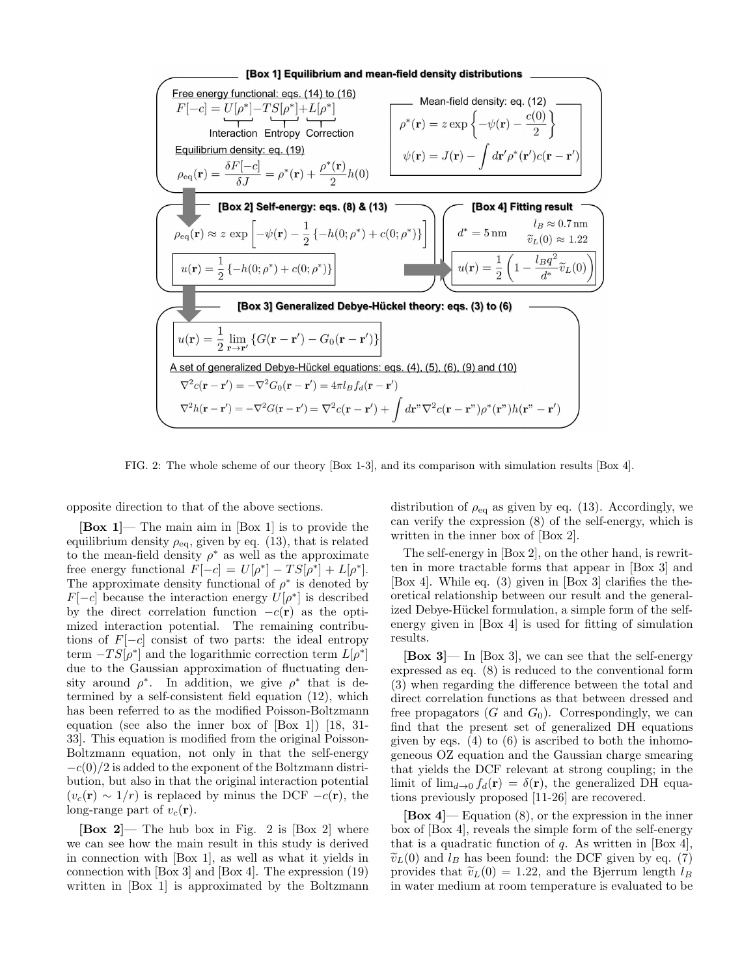

FIG. 2: The whole scheme of our theory [Box 1-3], and its comparison with simulation results [Box 4].

opposite direction to that of the above sections.

 $[Box 1]$ — The main aim in  $[Box 1]$  is to provide the equilibrium density  $\rho_{\text{eq}}$ , given by eq. (13), that is related to the mean-field density  $\rho^*$  as well as the approximate free energy functional  $F[-c] = U[\rho^*] - TS[\rho^*] + L[\rho^*].$ The approximate density functional of  $\rho^*$  is denoted by  $F[-c]$  because the interaction energy  $U[\rho^*]$  is described by the direct correlation function  $-c(r)$  as the optimized interaction potential. The remaining contributions of  $F[-c]$  consist of two parts: the ideal entropy term  $-TS[\rho^*]$  and the logarithmic correction term  $L[\rho^*]$ due to the Gaussian approximation of fluctuating density around  $\rho^*$ . In addition, we give  $\rho^*$  that is determined by a self-consistent field equation (12), which has been referred to as the modified Poisson-Boltzmann equation (see also the inner box of [Box 1]) [18, 31- 33]. This equation is modified from the original Poisson-Boltzmann equation, not only in that the self-energy  $-c(0)/2$  is added to the exponent of the Boltzmann distribution, but also in that the original interaction potential  $(v_c(\mathbf{r}) \sim 1/r)$  is replaced by minus the DCF  $-c(\mathbf{r})$ , the long-range part of  $v_c(\mathbf{r})$ .

 $\begin{bmatrix} \text{Box} \\ \text{2} \end{bmatrix}$  The hub box in Fig. 2 is  $\begin{bmatrix} \text{Box} \\ \text{2} \end{bmatrix}$  where we can see how the main result in this study is derived in connection with [Box 1], as well as what it yields in connection with [Box 3] and [Box 4]. The expression (19) written in [Box 1] is approximated by the Boltzmann distribution of  $\rho_{\text{eq}}$  as given by eq. (13). Accordingly, we can verify the expression (8) of the self-energy, which is written in the inner box of [Box 2].

The self-energy in [Box 2], on the other hand, is rewritten in more tractable forms that appear in [Box 3] and [Box 4]. While eq. (3) given in [Box 3] clarifies the theoretical relationship between our result and the generalized Debye-Hückel formulation, a simple form of the selfenergy given in [Box 4] is used for fitting of simulation results.

 $[\text{Box } 3]$ — In  $[\text{Box } 3]$ , we can see that the self-energy expressed as eq. (8) is reduced to the conventional form (3) when regarding the difference between the total and direct correlation functions as that between dressed and free propagators  $(G \text{ and } G_0)$ . Correspondingly, we can find that the present set of generalized DH equations given by eqs. (4) to  $(6)$  is ascribed to both the inhomogeneous OZ equation and the Gaussian charge smearing that yields the DCF relevant at strong coupling; in the limit of  $\lim_{d\to 0} f_d(\mathbf{r}) = \delta(\mathbf{r})$ , the generalized DH equations previously proposed [11-26] are recovered.

 $[\text{Box 4}]$  Equation (8), or the expression in the inner box of [Box 4], reveals the simple form of the self-energy that is a quadratic function of  $q$ . As written in [Box 4],  $\tilde{v}_L(0)$  and  $l_B$  has been found: the DCF given by eq. (7) provides that  $\tilde{v}_L(0) = 1.22$ , and the Bjerrum length  $l_B$ in water medium at room temperature is evaluated to be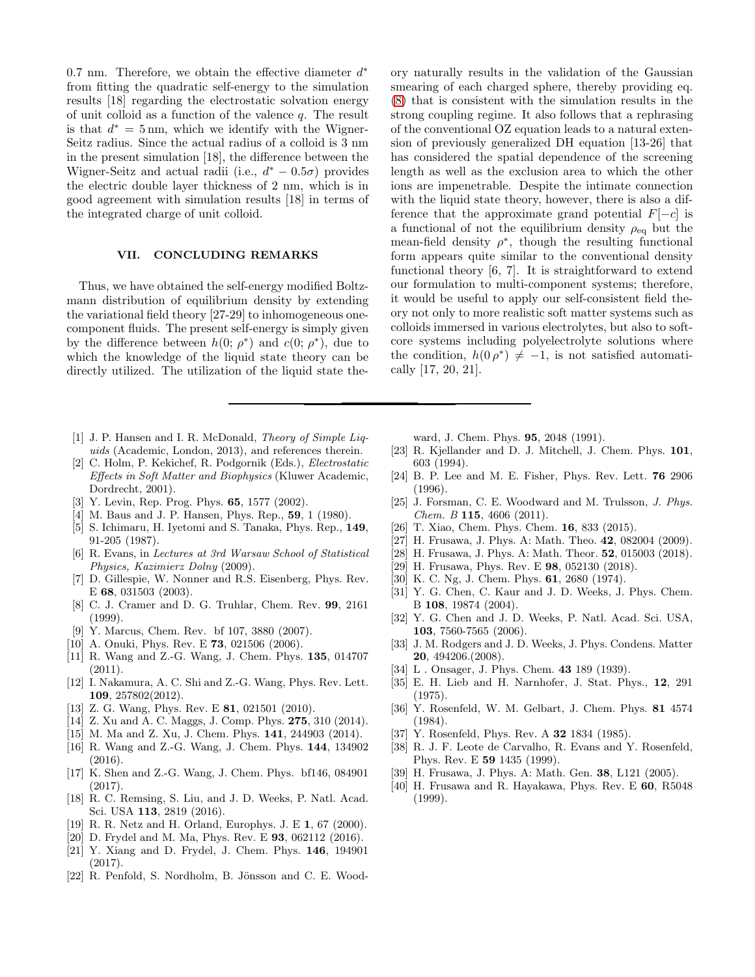0.7 nm. Therefore, we obtain the effective diameter  $d^*$ from fitting the quadratic self-energy to the simulation results [18] regarding the electrostatic solvation energy of unit colloid as a function of the valence  $q$ . The result is that  $d^* = 5 \,\text{nm}$ , which we identify with the Wigner-Seitz radius. Since the actual radius of a colloid is 3 nm in the present simulation [18], the difference between the Wigner-Seitz and actual radii (i.e.,  $d^* - 0.5\sigma$ ) provides the electric double layer thickness of 2 nm, which is in good agreement with simulation results [18] in terms of the integrated charge of unit colloid.

### VII. CONCLUDING REMARKS

Thus, we have obtained the self-energy modified Boltzmann distribution of equilibrium density by extending the variational field theory [27-29] to inhomogeneous onecomponent fluids. The present self-energy is simply given by the difference between  $h(0; \rho^*)$  and  $c(0; \rho^*)$ , due to which the knowledge of the liquid state theory can be directly utilized. The utilization of the liquid state the-

- [1] J. P. Hansen and I. R. McDonald, Theory of Simple Liquids (Academic, London, 2013), and references therein.
- [2] C. Holm, P. Kekichef, R. Podgornik (Eds.), Electrostatic Effects in Soft Matter and Biophysics (Kluwer Academic, Dordrecht, 2001).
- [3] Y. Levin, Rep. Prog. Phys. **65**, 1577 (2002).
- [4] M. Baus and J. P. Hansen, Phys. Rep., **59**, 1 (1980).
- [5] S. Ichimaru, H. Iyetomi and S. Tanaka, Phys. Rep., 149, 91-205 (1987).
- [6] R. Evans, in Lectures at 3rd Warsaw School of Statistical Physics, Kazimierz Dolny (2009).
- [7] D. Gillespie, W. Nonner and R.S. Eisenberg, Phys. Rev. E 68, 031503 (2003).
- [8] C. J. Cramer and D. G. Truhlar, Chem. Rev. 99, 2161 (1999).
- [9] Y. Marcus, Chem. Rev. bf 107, 3880 (2007).
- [10] A. Onuki, Phys. Rev. E 73, 021506 (2006).
- [11] R. Wang and Z.-G. Wang, J. Chem. Phys. 135, 014707 (2011).
- [12] I. Nakamura, A. C. Shi and Z.-G. Wang, Phys. Rev. Lett. 109, 257802(2012).
- [13] Z. G. Wang, Phys. Rev. E **81**, 021501 (2010).
- [14] Z. Xu and A. C. Maggs, J. Comp. Phys. **275**, 310 (2014).
- [15] M. Ma and Z. Xu, J. Chem. Phys. 141, 244903 (2014).
- [16] R. Wang and Z.-G. Wang, J. Chem. Phys. 144, 134902 (2016).
- [17] K. Shen and Z.-G. Wang, J. Chem. Phys. bf146, 084901 (2017).
- [18] R. C. Remsing, S. Liu, and J. D. Weeks, P. Natl. Acad. Sci. USA 113, 2819 (2016).
- [19] R. R. Netz and H. Orland, Europhys. J. E 1, 67 (2000).
- [20] D. Frydel and M. Ma, Phys. Rev. E **93**, 062112 (2016).
- [21] Y. Xiang and D. Frydel, J. Chem. Phys. 146, 194901 (2017).
- [22] R. Penfold, S. Nordholm, B. Jönsson and C. E. Wood-

ory naturally results in the validation of the Gaussian smearing of each charged sphere, thereby providing eq. [\(8\)](#page-2-4) that is consistent with the simulation results in the strong coupling regime. It also follows that a rephrasing of the conventional OZ equation leads to a natural extension of previously generalized DH equation [13-26] that has considered the spatial dependence of the screening length as well as the exclusion area to which the other ions are impenetrable. Despite the intimate connection with the liquid state theory, however, there is also a difference that the approximate grand potential  $F[-c]$  is a functional of not the equilibrium density  $\rho_{eq}$  but the mean-field density  $\rho^*$ , though the resulting functional form appears quite similar to the conventional density functional theory [6, 7]. It is straightforward to extend our formulation to multi-component systems; therefore, it would be useful to apply our self-consistent field theory not only to more realistic soft matter systems such as colloids immersed in various electrolytes, but also to softcore systems including polyelectrolyte solutions where the condition,  $h(0 \rho^*) \neq -1$ , is not satisfied automatically [17, 20, 21].

ward, J. Chem. Phys. 95, 2048 (1991).

- [23] R. Kjellander and D. J. Mitchell, J. Chem. Phys. 101, 603 (1994).
- [24] B. P. Lee and M. E. Fisher, Phys. Rev. Lett. 76 2906 (1996).
- [25] J. Forsman, C. E. Woodward and M. Trulsson, J. Phys.  $Chem. B$  115, 4606 (2011).
- [26] T. Xiao, Chem. Phys. Chem. **16**, 833 (2015).
- [27] H. Frusawa, J. Phys. A: Math. Theo. **42**, 082004 (2009).
- [28] H. Frusawa, J. Phys. A: Math. Theor. 52, 015003 (2018).
- [29] H. Frusawa, Phys. Rev. E 98, 052130 (2018).
- [30] K. C. Ng, J. Chem. Phys. **61**, 2680 (1974).
- [31] Y. G. Chen, C. Kaur and J. D. Weeks, J. Phys. Chem. B 108, 19874 (2004).
- [32] Y. G. Chen and J. D. Weeks, P. Natl. Acad. Sci. USA, 103, 7560-7565 (2006).
- [33] J. M. Rodgers and J. D. Weeks, J. Phys. Condens. Matter 20, 494206.(2008).
- [34] L. Onsager, J. Phys. Chem. **43** 189 (1939).
- [35] E. H. Lieb and H. Narnhofer, J. Stat. Phys., 12, 291 (1975).
- [36] Y. Rosenfeld, W. M. Gelbart, J. Chem. Phys. 81 4574 (1984).
- [37] Y. Rosenfeld, Phys. Rev. A **32** 1834 (1985).
- [38] R. J. F. Leote de Carvalho, R. Evans and Y. Rosenfeld, Phys. Rev. E 59 1435 (1999).
- [39] H. Frusawa, J. Phys. A: Math. Gen. 38, L121 (2005).
- [40] H. Frusawa and R. Hayakawa, Phys. Rev. E 60, R5048 (1999).